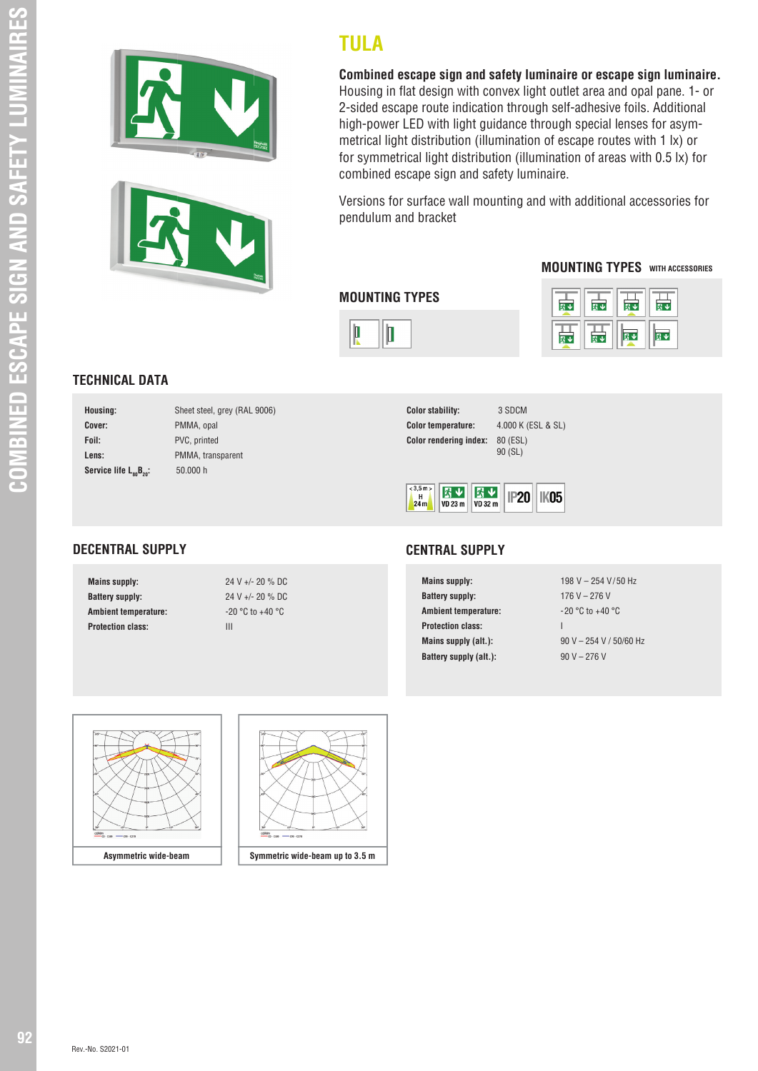



**TULA**

**Combined escape sign and safety luminaire or escape sign luminaire.**  Housing in flat design with convex light outlet area and opal pane. 1- or 2-sided escape route indication through self-adhesive foils. Additional high-power LED with light guidance through special lenses for asymmetrical light distribution (illumination of escape routes with 1 lx) or for symmetrical light distribution (illumination of areas with 0.5 lx) for combined escape sign and safety luminaire.

Versions for surface wall mounting and with additional accessories for pendulum and bracket

### **MOUNTING TYPES WITH ACCESSORIES**



|  | 环 | ۰Đ |
|--|---|----|
|  |   |    |

## **TECHNICAL DATA**

**DECENTRAL SUPPLY**

| Housing:                              | Sheet steel, grey (RAL 9006) |
|---------------------------------------|------------------------------|
| Cover:                                | PMMA, opal                   |
| Foil:                                 | PVC, printed                 |
| Lens:                                 | PMMA, transparent            |
| Service life $L_{\rm sn}B_{\rm on}$ : | 50.000 h                     |

**Mains supply:** 24 V +/- 20 % DC **Battery supply:** 24 V +/- 20 % DC **Ambient temperature:**  $-20 \degree C$  to +40  $\degree C$ 

**Protection class:** III

| <b>Color stability:</b>       | 3 SDCM              |
|-------------------------------|---------------------|
| <b>Color temperature:</b>     | 4.000K              |
| <b>Color rendering index:</b> | 80 (ESL)<br>90 (SL) |

**Color temperature:** 4.000 K (ESL & SL)



#### **CENTRAL SUPPLY**

**Mains supply:** 198 V – 254 V/50 Hz **Battery supply: 176 V – 276 V Ambient temperature:**  $-20^{\circ}$ C to  $+40^{\circ}$ C **Protection class:** I **Mains supply (alt.):** 90 V – 254 V / 50/60 Hz **Battery supply (alt.):** 90 V – 276 V



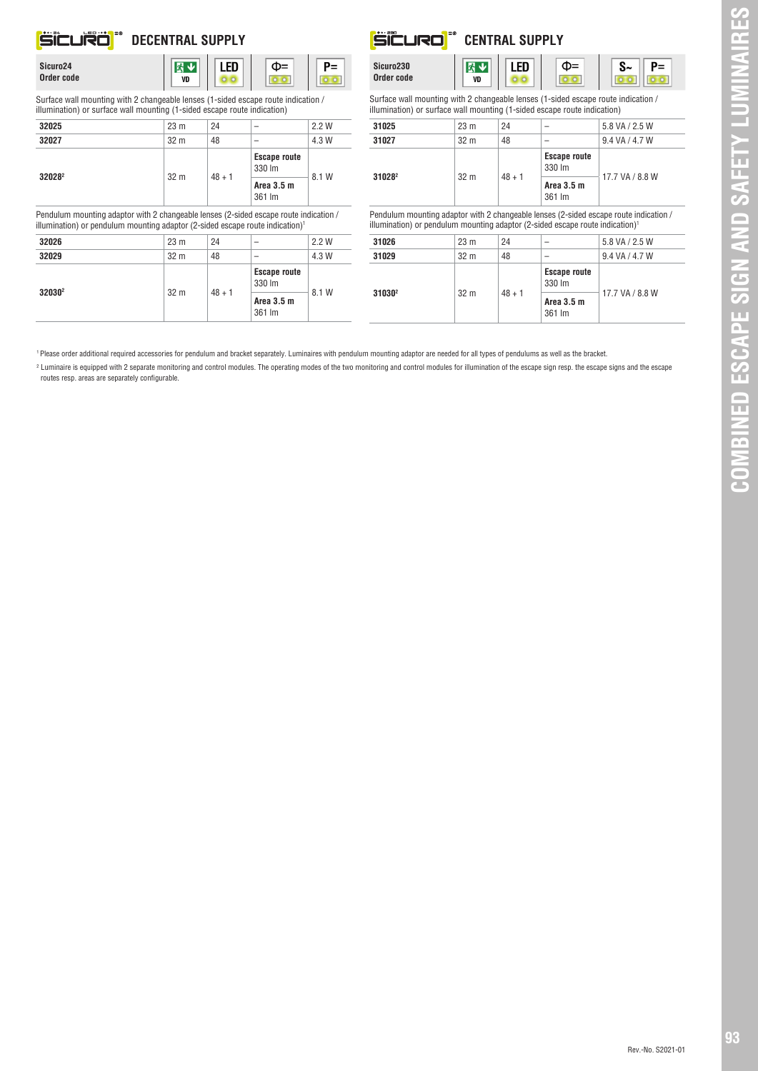# **DECENTRAL SUPPLY**

| Sicuro24   |  |
|------------|--|
|            |  |
| Order code |  |

# 图文



Surface wall mounting with 2 changeable lenses (1-sided escape route indication / illumination) or surface wall mounting (1-sided escape route indication)

 $\overline{v}$ 

| 32025                                                                                                                                                                              | 23 <sub>m</sub>  | 24                 | -                             | 2.2W  |
|------------------------------------------------------------------------------------------------------------------------------------------------------------------------------------|------------------|--------------------|-------------------------------|-------|
| 32027                                                                                                                                                                              | 32 <sub>m</sub>  | 48                 |                               | 4.3 W |
| 32028 <sup>2</sup>                                                                                                                                                                 | 32 <sub>m</sub>  |                    | <b>Escape route</b><br>330 lm | 8.1 W |
|                                                                                                                                                                                    |                  | $48 + 1$           | Area 3.5 m<br>361 lm          |       |
| Pendulum mounting adaptor with 2 changeable lenses (2-sided escape route indication /<br>illumination) or pendulum mounting adaptor (2-sided escape route indication) <sup>1</sup> |                  |                    |                               |       |
| 32026                                                                                                                                                                              | 23 <sub>m</sub>  | 24                 |                               | 22W   |
| annan                                                                                                                                                                              | 00 <sub>na</sub> | $\Lambda$ $\Omega$ |                               | 1.011 |

| 32029              | 32 <sub>m</sub> | 48       | $\overline{\phantom{a}}$      | 4.3 W |  |
|--------------------|-----------------|----------|-------------------------------|-------|--|
|                    | 32 <sub>m</sub> |          | <b>Escape route</b><br>330 lm |       |  |
| 32030 <sup>2</sup> |                 | $48 + 1$ | Area 3.5 m<br>361 lm          | 8.1 W |  |

| Sicuro230<br>Order code                                    | VD |  |
|------------------------------------------------------------|----|--|
| Surface wall mounting with 2 changeable lenses (1-sided es |    |  |

**ËËURO** 



Surface wall mounting with 2 changeable lenses (1-sided escape route indication / illumination) or surface wall mounting (1-sided escape route indication)

**CENTRAL SUPPLY**

| 31025              | 23 <sub>m</sub> | 24       | -                             | 5.8 VA / 2.5 W  |
|--------------------|-----------------|----------|-------------------------------|-----------------|
| 31027              | 32 <sub>m</sub> | 48       | -                             | 9.4 VA / 4.7 W  |
| 31028 <sup>2</sup> | 32 <sub>m</sub> | $48 + 1$ | <b>Escape route</b><br>330 lm |                 |
|                    |                 |          | Area 3.5 m<br>361 lm          | 17.7 VA / 8.8 W |

Pendulum mounting adaptor with 2 changeable lenses (2-sided escape route indication / illumination) or pendulum mounting adaptor (2-sided escape route indication)<sup>1</sup>  $\overline{\phantom{a}}$ 

| 31026              | 23 <sub>m</sub> | 24       | $\overline{\phantom{a}}$      | 5.8 VA / 2.5 W  |
|--------------------|-----------------|----------|-------------------------------|-----------------|
| 31029              | 32 <sub>m</sub> | 48       | -                             | 9.4 VA / 4.7 W  |
| 31030 <sup>2</sup> | 32 <sub>m</sub> | $48 + 1$ | <b>Escape route</b><br>330 lm |                 |
|                    |                 |          | Area 3.5 m<br>361 Im          | 17.7 VA / 8.8 W |

1 Please order additional required accessories for pendulum and bracket separately. Luminaires with pendulum mounting adaptor are needed for all types of pendulums as well as the bracket.

<sup>2</sup> Luminaire is equipped with 2 separate monitoring and control modules. The operating modes of the two monitoring and control modules for illumination of the escape sign resp. the escape signs and the escape routes resp. areas are separately configurable.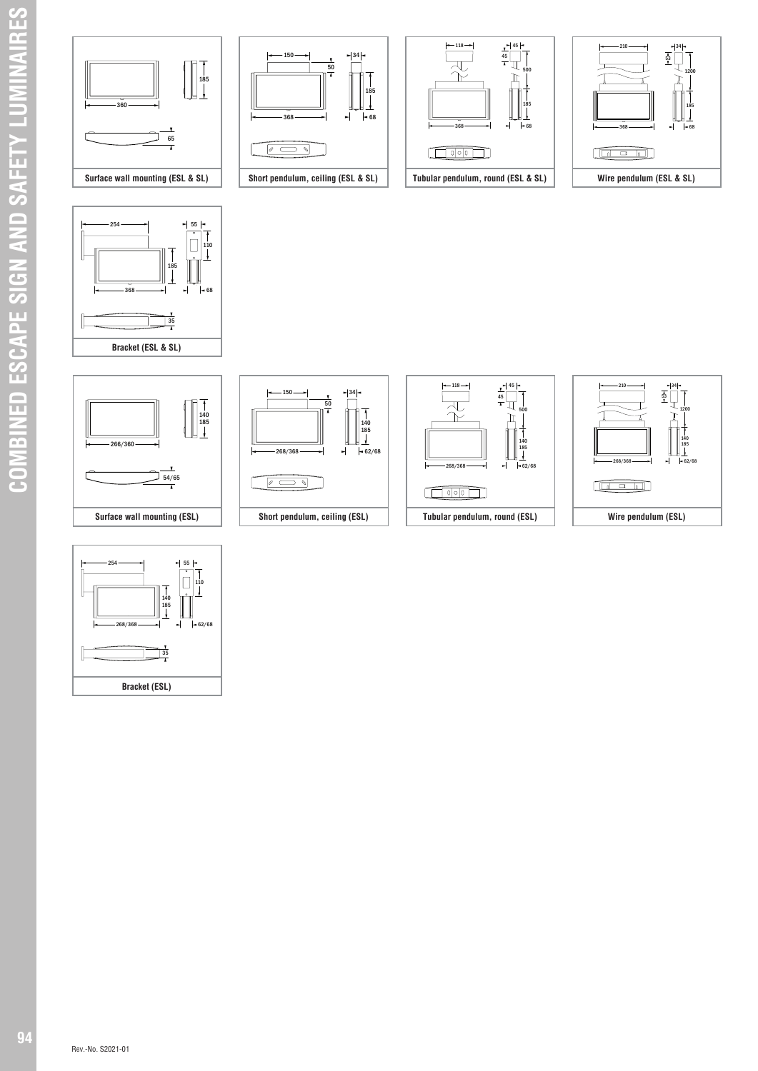